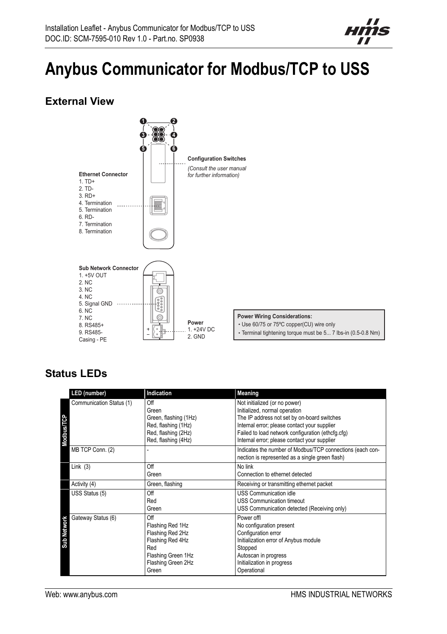

# **Anybus Communicator for Modbus/TCP to USS**

### **External View**



### **Status LEDs**

|                    | LED (number)             | Indication                                                                                                                  | Meaning                                                                                                                                                                                                                                                            |
|--------------------|--------------------------|-----------------------------------------------------------------------------------------------------------------------------|--------------------------------------------------------------------------------------------------------------------------------------------------------------------------------------------------------------------------------------------------------------------|
| <b>Modbus/TCP</b>  | Communication Status (1) | Off<br>Green<br>Green, flashing (1Hz)<br>Red, flashing (1Hz)<br>Red, flashing (2Hz)<br>Red, flashing (4Hz)                  | Not initialized (or no power)<br>Initialized, normal operation<br>The IP address not set by on-board switches<br>Internal error; please contact your supplier<br>Failed to load network configuration (ethcfg.cfg)<br>Internal error; please contact your supplier |
|                    | MB TCP Conn. (2)         |                                                                                                                             | Indicates the number of Modbus/TCP connections (each con-<br>nection is represented as a single green flash)                                                                                                                                                       |
| Link $(3)$         |                          | Off<br>Green                                                                                                                | No link<br>Connection to ethernet detected                                                                                                                                                                                                                         |
| Activity (4)       |                          | Green, flashing                                                                                                             | Receiving or transmitting ethernet packet                                                                                                                                                                                                                          |
|                    | USS Status (5)           | Off<br>Red<br>Green                                                                                                         | <b>USS Communication idle</b><br><b>USS Communication timeout</b><br>USS Communication detected (Receiving only)                                                                                                                                                   |
| <b>Sub Network</b> | Gateway Status (6)       | Off<br>Flashing Red 1Hz<br>Flashing Red 2Hz<br>Flashing Red 4Hz<br>Red<br>Flashing Green 1Hz<br>Flashing Green 2Hz<br>Green | Power offl<br>No configuration present<br>Configuration error<br>Initialization error of Anybus module<br>Stopped<br>Autoscan in progress<br>Initialization in progress<br>Operational                                                                             |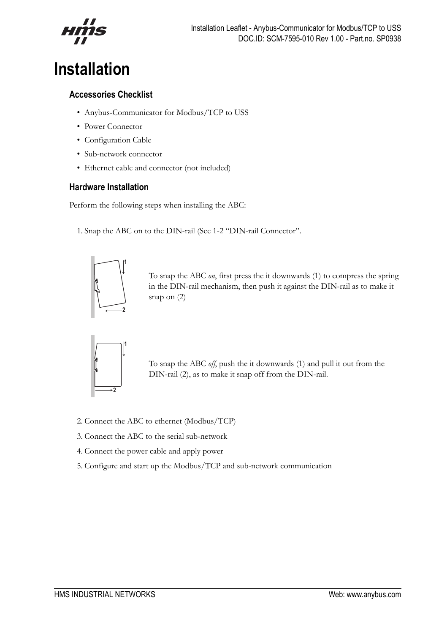## **Installation**

#### **Accessories Checklist**

- Anybus-Communicator for Modbus/TCP to USS
- Power Connector
- Configuration Cable
- Sub-network connector
- Ethernet cable and connector (not included)

#### **Hardware Installation**

Perform the following steps when installing the ABC:

1. Snap the ABC on to the DIN-rail (See 1-2 "DIN-rail Connector".



To snap the ABC *on*, first press the it downwards (1) to compress the spring in the DIN-rail mechanism, then push it against the DIN-rail as to make it snap on (2)



To snap the ABC *off*, push the it downwards (1) and pull it out from the DIN-rail (2), as to make it snap off from the DIN-rail.

- 2. Connect the ABC to ethernet (Modbus/TCP)
- 3. Connect the ABC to the serial sub-network
- 4. Connect the power cable and apply power
- 5. Configure and start up the Modbus/TCP and sub-network communication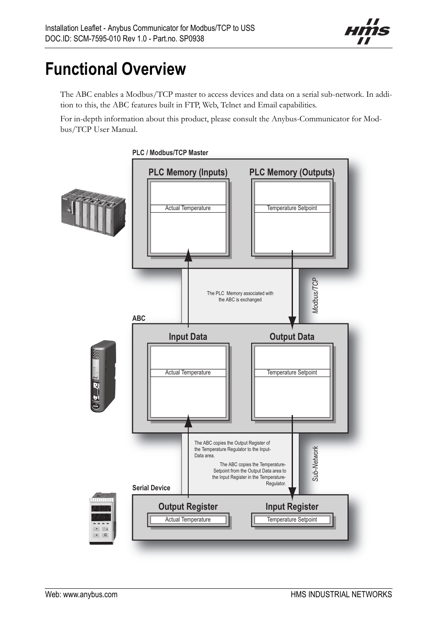

# **Functional Overview**

The ABC enables a Modbus/TCP master to access devices and data on a serial sub-network. In addition to this, the ABC features built in FTP, Web, Telnet and Email capabilities.

For in-depth information about this product, please consult the Anybus-Communicator for Modbus/TCP User Manual.